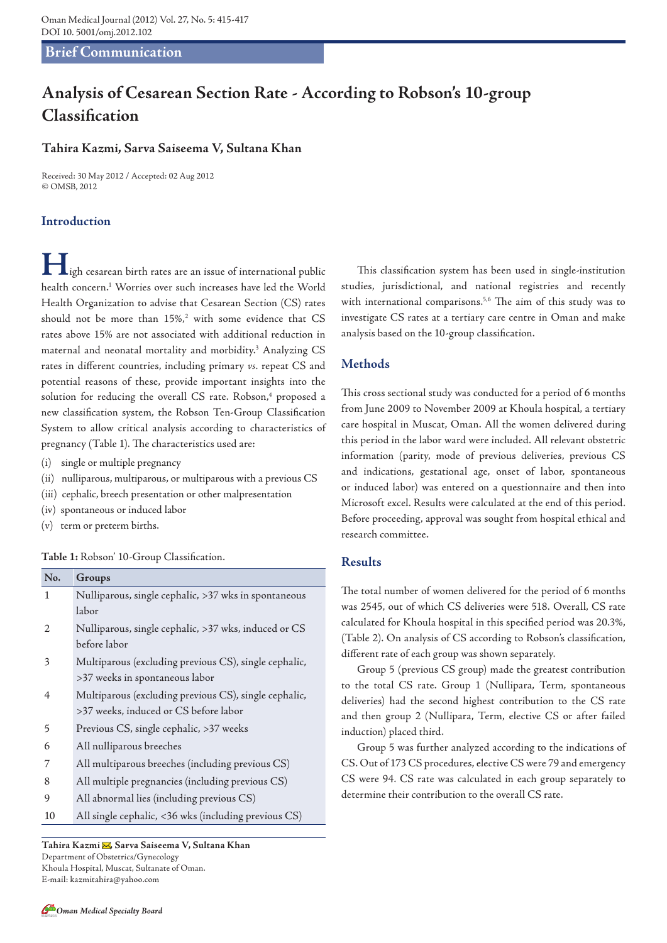# **Brief Communication**

# **Analysis of Cesarean Section Rate - According to Robson's 10-group Classification**

# **Tahira Kazmi, Sarva Saiseema V, Sultana Khan**

Received: 30 May 2012 / Accepted: 02 Aug 2012 © OMSB, 2012

# **Introduction**

**H**igh cesarean birth rates are an issue of international public health concern.1 Worries over such increases have led the World Health Organization to advise that Cesarean Section (CS) rates should not be more than 15%,<sup>2</sup> with some evidence that CS rates above 15% are not associated with additional reduction in maternal and neonatal mortality and morbidity.<sup>3</sup> Analyzing CS rates in different countries, including primary *vs.* repeat CS and potential reasons of these, provide important insights into the solution for reducing the overall CS rate. Robson,<sup>4</sup> proposed a new classification system, the Robson Ten-Group Classification System to allow critical analysis according to characteristics of pregnancy (Table 1). The characteristics used are:

- (i) single or multiple pregnancy
- (ii) nulliparous, multiparous, or multiparous with a previous CS
- (iii) cephalic, breech presentation or other malpresentation
- (iv) spontaneous or induced labor
- (v) term or preterm births.

#### **Table 1:** Robson' 10-Group Classification.

| No.                                           | Groups                                                |  |  |  |  |  |
|-----------------------------------------------|-------------------------------------------------------|--|--|--|--|--|
| 1                                             | Nulliparous, single cephalic, >37 wks in spontaneous  |  |  |  |  |  |
|                                               | labor                                                 |  |  |  |  |  |
| 2                                             | Nulliparous, single cephalic, >37 wks, induced or CS  |  |  |  |  |  |
|                                               | before labor                                          |  |  |  |  |  |
| 3                                             | Multiparous (excluding previous CS), single cephalic, |  |  |  |  |  |
|                                               | >37 weeks in spontaneous labor                        |  |  |  |  |  |
| 4                                             | Multiparous (excluding previous CS), single cephalic, |  |  |  |  |  |
|                                               | >37 weeks, induced or CS before labor                 |  |  |  |  |  |
| 5                                             | Previous CS, single cephalic, >37 weeks               |  |  |  |  |  |
| 6                                             | All nulliparous breeches                              |  |  |  |  |  |
| 7                                             | All multiparous breeches (including previous CS)      |  |  |  |  |  |
| 8                                             | All multiple pregnancies (including previous CS)      |  |  |  |  |  |
| 9                                             | All abnormal lies (including previous CS)             |  |  |  |  |  |
| 10                                            | All single cephalic, <36 wks (including previous CS)  |  |  |  |  |  |
|                                               |                                                       |  |  |  |  |  |
| Tahira Kazmi⊠, Sarva Saiseema V, Sultana Khan |                                                       |  |  |  |  |  |
| Department of Obstetrics/Gynecology           |                                                       |  |  |  |  |  |

Khoula Hospital, Muscat, Sultanate of Oman. E-mail: kazmitahira@yahoo.com

This classification system has been used in single-institution studies, jurisdictional, and national registries and recently with international comparisons.<sup>5,6</sup> The aim of this study was to investigate CS rates at a tertiary care centre in Oman and make analysis based on the 10-group classification.

# **Methods**

This cross sectional study was conducted for a period of 6 months from June 2009 to November 2009 at Khoula hospital, a tertiary care hospital in Muscat, Oman. All the women delivered during this period in the labor ward were included. All relevant obstetric information (parity, mode of previous deliveries, previous CS and indications, gestational age, onset of labor, spontaneous or induced labor) was entered on a questionnaire and then into Microsoft excel. Results were calculated at the end of this period. Before proceeding, approval was sought from hospital ethical and research committee.

### **Results**

The total number of women delivered for the period of 6 months was 2545, out of which CS deliveries were 518. Overall, CS rate calculated for Khoula hospital in this specified period was 20.3%, (Table 2). On analysis of CS according to Robson's classification, different rate of each group was shown separately.

Group 5 (previous CS group) made the greatest contribution to the total CS rate. Group 1 (Nullipara, Term, spontaneous deliveries) had the second highest contribution to the CS rate and then group 2 (Nullipara, Term, elective CS or after failed induction) placed third.

Group 5 was further analyzed according to the indications of CS. Out of 173 CS procedures, elective CS were 79 and emergency CS were 94. CS rate was calculated in each group separately to determine their contribution to the overall CS rate.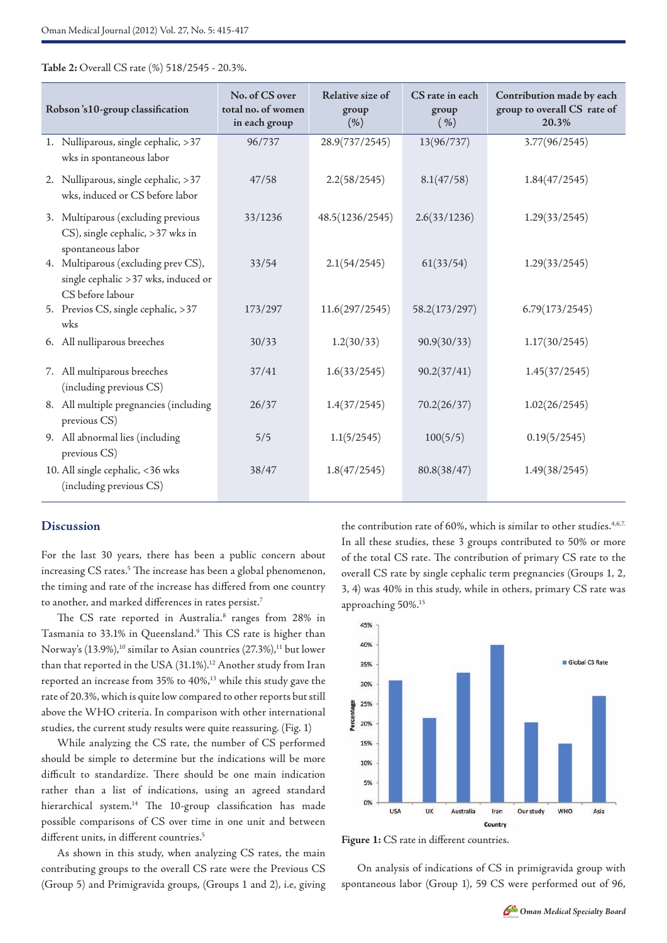**Table 2:** Overall CS rate (%) 518/2545 - 20.3%.

| Robson's10-group classification |                                                                                                 | No. of CS over<br>total no. of women<br>in each group | Relative size of<br>group<br>(% ) | CS rate in each<br>group<br>$(\% )$ | Contribution made by each<br>group to overall CS rate of<br>20.3% |
|---------------------------------|-------------------------------------------------------------------------------------------------|-------------------------------------------------------|-----------------------------------|-------------------------------------|-------------------------------------------------------------------|
|                                 | 1. Nulliparous, single cephalic, >37<br>wks in spontaneous labor                                | 96/737                                                | 28.9(737/2545)                    | 13(96/737)                          | 3.77(96/2545)                                                     |
|                                 | 2. Nulliparous, single cephalic, >37<br>wks, induced or CS before labor                         | 47/58                                                 | 2.2(58/2545)                      | 8.1(47/58)                          | 1.84(47/2545)                                                     |
|                                 | 3. Multiparous (excluding previous<br>CS), single cephalic, >37 wks in<br>spontaneous labor     | 33/1236                                               | 48.5(1236/2545)                   | 2.6(33/1236)                        | 1.29(33/2545)                                                     |
|                                 | 4. Multiparous (excluding prev CS),<br>single cephalic > 37 wks, induced or<br>CS before labour | 33/54                                                 | 2.1(54/2545)                      | 61(33/54)                           | 1.29(33/2545)                                                     |
|                                 | 5. Previos CS, single cephalic, >37<br>wks                                                      | 173/297                                               | 11.6(297/2545)                    | 58.2(173/297)                       | 6.79(173/2545)                                                    |
|                                 | 6. All nulliparous breeches                                                                     | 30/33                                                 | 1.2(30/33)                        | 90.9(30/33)                         | 1.17(30/2545)                                                     |
|                                 | 7. All multiparous breeches<br>(including previous CS)                                          | 37/41                                                 | 1.6(33/2545)                      | 90.2(37/41)                         | 1.45(37/2545)                                                     |
|                                 | 8. All multiple pregnancies (including<br>previous CS)                                          | 26/37                                                 | 1.4(37/2545)                      | 70.2(26/37)                         | 1.02(26/2545)                                                     |
|                                 | 9. All abnormal lies (including<br>previous CS)                                                 | 5/5                                                   | 1.1(5/2545)                       | 100(5/5)                            | 0.19(5/2545)                                                      |
|                                 | 10. All single cephalic, <36 wks<br>(including previous CS)                                     | 38/47                                                 | 1.8(47/2545)                      | 80.8(38/47)                         | 1.49(38/2545)                                                     |

#### **Discussion**

For the last 30 years, there has been a public concern about increasing CS rates.<sup>5</sup> The increase has been a global phenomenon, the timing and rate of the increase has differed from one country to another, and marked differences in rates persist.7

The CS rate reported in Australia.<sup>8</sup> ranges from 28% in Tasmania to 33.1% in Queensland.<sup>9</sup> This CS rate is higher than Norway's  $(13.9\%)$ ,<sup>10</sup> similar to Asian countries  $(27.3\%)$ ,<sup>11</sup> but lower than that reported in the USA (31.1%).<sup>12</sup> Another study from Iran reported an increase from 35% to 40%,13 while this study gave the rate of 20.3%, which is quite low compared to other reports but still above the WHO criteria. In comparison with other international studies, the current study results were quite reassuring. (Fig. 1)

While analyzing the CS rate, the number of CS performed should be simple to determine but the indications will be more difficult to standardize. There should be one main indication rather than a list of indications, using an agreed standard hierarchical system.<sup>14</sup> The 10-group classification has made possible comparisons of CS over time in one unit and between different units, in different countries.<sup>5</sup>

As shown in this study, when analyzing CS rates, the main contributing groups to the overall CS rate were the Previous CS (Group 5) and Primigravida groups, (Groups 1 and 2), i.e, giving the contribution rate of 60%, which is similar to other studies.<sup>4,6,7</sup> In all these studies, these 3 groups contributed to 50% or more of the total CS rate. The contribution of primary CS rate to the overall CS rate by single cephalic term pregnancies (Groups 1, 2, 3, 4) was 40% in this study, while in others, primary CS rate was approaching 50%.15





On analysis of indications of CS in primigravida group with spontaneous labor (Group 1), 59 CS were performed out of 96,